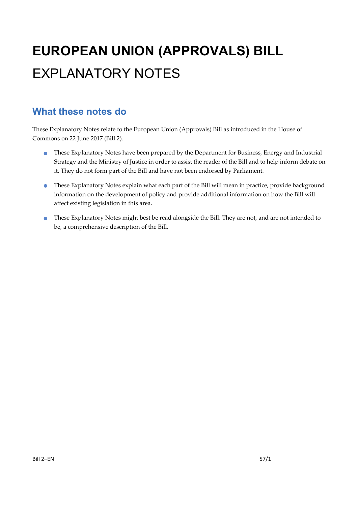# **EUROPEAN UNION (APPROVALS) BILL**  EXPLANATORY NOTES

#### **What these notes do**

These Explanatory Notes relate to the European Union (Approvals) Bill as introduced in the House of Commons on 22 June 2017 (Bill 2).

- **•** These Explanatory Notes have been prepared by the Department for Business, Energy and Industrial Strategy and the Ministry of Justice in order to assist the reader of the Bill and to help inform debate on it. They do not form part of the Bill and have not been endorsed by Parliament.
- **•** These Explanatory Notes explain what each part of the Bill will mean in practice, provide background information on the development of policy and provide additional information on how the Bill will affect existing legislation in this area.
- These Explanatory Notes might best be read alongside the Bill. They are not, and are not intended to be, a comprehensive description of the Bill.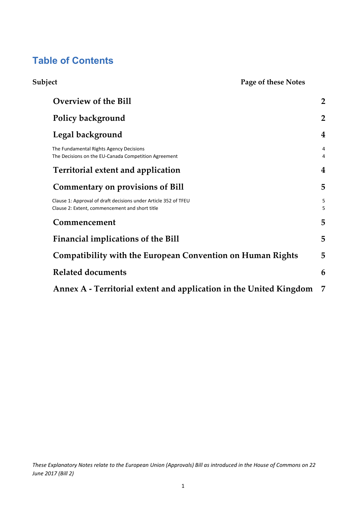#### **Table of Contents**

| Subject | Page of these Notes                                                                                               |                     |
|---------|-------------------------------------------------------------------------------------------------------------------|---------------------|
|         | Overview of the Bill                                                                                              | $\overline{2}$      |
|         | Policy background                                                                                                 | $\overline{2}$      |
|         | Legal background                                                                                                  | $\overline{4}$      |
|         | The Fundamental Rights Agency Decisions<br>The Decisions on the EU-Canada Competition Agreement                   | 4<br>$\overline{4}$ |
|         | <b>Territorial extent and application</b>                                                                         | 4                   |
|         | <b>Commentary on provisions of Bill</b>                                                                           | 5                   |
|         | Clause 1: Approval of draft decisions under Article 352 of TFEU<br>Clause 2: Extent, commencement and short title | 5<br>5              |
|         | Commencement                                                                                                      | 5                   |
|         | Financial implications of the Bill                                                                                | 5                   |
|         | <b>Compatibility with the European Convention on Human Rights</b>                                                 | 5                   |
|         | <b>Related documents</b>                                                                                          | 6                   |
|         | Annex A - Territorial extent and application in the United Kingdom                                                | 7                   |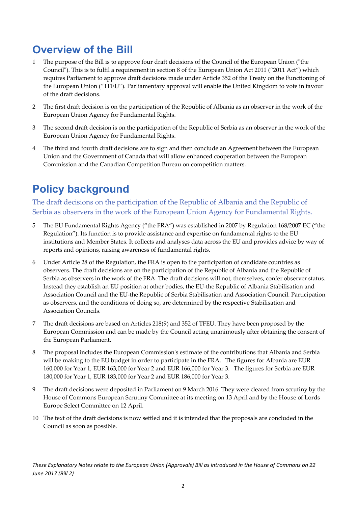### **Overview of the Bill**

- The purpose of the Bill is to approve four draft decisions of the Council of the European Union ("the Council"). This is to fulfil a requirement in section 8 of the European Union Act 2011 ("2011 Act") which requires Parliament to approve draft decisions made under Article 352 of the Treaty on the Functioning of the European Union ("TFEU"). Parliamentary approval will enable the United Kingdom to vote in favour of the draft decisions.
- 2 The first draft decision is on the participation of the Republic of Albania as an observer in the work of the European Union Agency for Fundamental Rights.
- 3 The second draft decision is on the participation of the Republic of Serbia as an observer in the work of the European Union Agency for Fundamental Rights.
- 4 The third and fourth draft decisions are to sign and then conclude an Agreement between the European Union and the Government of Canada that will allow enhanced cooperation between the European Commission and the Canadian Competition Bureau on competition matters.

## **Policy background**

The draft decisions on the participation of the Republic of Albania and the Republic of Serbia as observers in the work of the European Union Agency for Fundamental Rights.

- 5 The EU Fundamental Rights Agency ("the FRA") was established in 2007 by Regulation 168/2007 EC ("the Regulation"). Its function is to provide assistance and expertise on fundamental rights to the EU institutions and Member States. It collects and analyses data across the EU and provides advice by way of reports and opinions, raising awareness of fundamental rights.
- 6 Under Article 28 of the Regulation, the FRA is open to the participation of candidate countries as observers. The draft decisions are on the participation of the Republic of Albania and the Republic of Serbia as observers in the work of the FRA. The draft decisions will not, themselves, confer observer status. Instead they establish an EU position at other bodies, the EU‐the Republic of Albania Stabilisation and Association Council and the EU‐the Republic of Serbia Stabilisation and Association Council. Participation as observers, and the conditions of doing so, are determined by the respective Stabilisation and Association Councils.
- 7 The draft decisions are based on Articles 218(9) and 352 of TFEU. They have been proposed by the European Commission and can be made by the Council acting unanimously after obtaining the consent of the European Parliament.
- 8 The proposal includes the European Commission's estimate of the contributions that Albania and Serbia will be making to the EU budget in order to participate in the FRA. The figures for Albania are EUR 160,000 for Year 1, EUR 163,000 for Year 2 and EUR 166,000 for Year 3. The figures for Serbia are EUR 180,000 for Year 1, EUR 183,000 for Year 2 and EUR 186,000 for Year 3.
- 9 The draft decisions were deposited in Parliament on 9 March 2016. They were cleared from scrutiny by the House of Commons European Scrutiny Committee at its meeting on 13 April and by the House of Lords Europe Select Committee on 12 April.
- 10 The text of the draft decisions is now settled and it is intended that the proposals are concluded in the Council as soon as possible.

These Explanatory Notes relate to the European Union (Approvals) Bill as introduced in the House of Commons on 22 *June 2017 (Bill 2)*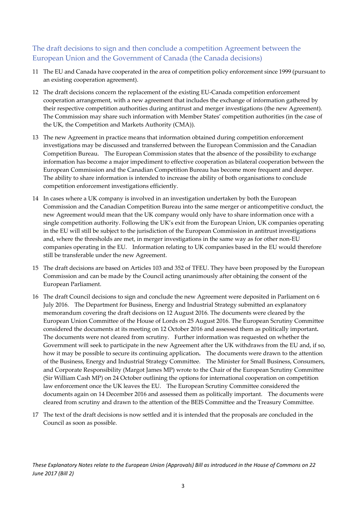#### The draft decisions to sign and then conclude a competition Agreement between the European Union and the Government of Canada (the Canada decisions)

- 11 The EU and Canada have cooperated in the area of competition policy enforcement since 1999 (pursuant to an existing cooperation agreement).
- 12 The draft decisions concern the replacement of the existing EU‐Canada competition enforcement cooperation arrangement, with a new agreement that includes the exchange of information gathered by their respective competition authorities during antitrust and merger investigations (the new Agreement). The Commission may share such information with Member States' competition authorities (in the case of the UK, the Competition and Markets Authority (CMA)).
- 13 The new Agreement in practice means that information obtained during competition enforcement investigations may be discussed and transferred between the European Commission and the Canadian Competition Bureau. The European Commission states that the absence of the possibility to exchange information has become a major impediment to effective cooperation as bilateral cooperation between the European Commission and the Canadian Competition Bureau has become more frequent and deeper. The ability to share information is intended to increase the ability of both organisations to conclude competition enforcement investigations efficiently.
- 14 In cases where a UK company is involved in an investigation undertaken by both the European Commission and the Canadian Competition Bureau into the same merger or anticompetitive conduct, the new Agreement would mean that the UK company would only have to share information once with a single competition authority. Following the UK's exit from the European Union, UK companies operating in the EU will still be subject to the jurisdiction of the European Commission in antitrust investigations and, where the thresholds are met, in merger investigations in the same way as for other non‐EU companies operating in the EU. Information relating to UK companies based in the EU would therefore still be transferable under the new Agreement.
- 15 The draft decisions are based on Articles 103 and 352 of TFEU. They have been proposed by the European Commission and can be made by the Council acting unanimously after obtaining the consent of the European Parliament.
- 16 The draft Council decisions to sign and conclude the new Agreement were deposited in Parliament on 6 July 2016. The Department for Business, Energy and Industrial Strategy submitted an explanatory memorandum covering the draft decisions on 12 August 2016. The documents were cleared by the European Union Committee of the House of Lords on 25 August 2016. The European Scrutiny Committee considered the documents at its meeting on 12 October 2016 and assessed them as politically important**.**  The documents were not cleared from scrutiny. Further information was requested on whether the Government will seek to participate in the new Agreement after the UK withdraws from the EU and, if so, how it may be possible to secure its continuing application**.** The documents were drawn to the attention of the Business, Energy and Industrial Strategy Committee. The Minister for Small Business, Consumers, and Corporate Responsibility (Margot James MP) wrote to the Chair of the European Scrutiny Committee (Sir William Cash MP) on 24 October outlining the options for international cooperation on competition law enforcement once the UK leaves the EU. The European Scrutiny Committee considered the documents again on 14 December 2016 and assessed them as politically important. The documents were cleared from scrutiny and drawn to the attention of the BEIS Committee and the Treasury Committee.
- 17 The text of the draft decisions is now settled and it is intended that the proposals are concluded in the Council as soon as possible.

These Explanatory Notes relate to the European Union (Approvals) Bill as introduced in the House of Commons on 22 *June 2017 (Bill 2)*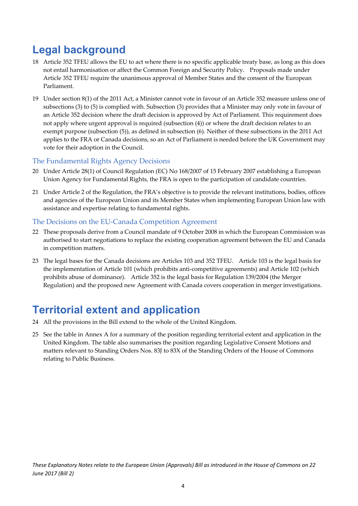### **Legal background**

- 18 Article 352 TFEU allows the EU to act where there is no specific applicable treaty base, as long as this does not entail harmonisation or affect the Common Foreign and Security Policy. Proposals made under Article 352 TFEU require the unanimous approval of Member States and the consent of the European Parliament.
- 19 Under section 8(1) of the 2011 Act, a Minister cannot vote in favour of an Article 352 measure unless one of subsections (3) to (5) is complied with. Subsection (3) provides that a Minister may only vote in favour of an Article 352 decision where the draft decision is approved by Act of Parliament. This requirement does not apply where urgent approval is required (subsection (4)) or where the draft decision relates to an exempt purpose (subsection (5)), as defined in subsection (6). Neither of these subsections in the 2011 Act applies to the FRA or Canada decisions, so an Act of Parliament is needed before the UK Government may vote for their adoption in the Council.

#### The Fundamental Rights Agency Decisions

- 20 Under Article 28(1) of Council Regulation (EC) No 168/2007 of 15 February 2007 establishing a European Union Agency for Fundamental Rights, the FRA is open to the participation of candidate countries.
- 21 Under Article 2 of the Regulation, the FRA's objective is to provide the relevant institutions, bodies, offices and agencies of the European Union and its Member States when implementing European Union law with assistance and expertise relating to fundamental rights.

#### The Decisions on the EU‐Canada Competition Agreement

- 22 These proposals derive from a Council mandate of 9 October 2008 in which the European Commission was authorised to start negotiations to replace the existing cooperation agreement between the EU and Canada in competition matters.
- 23 The legal bases for the Canada decisions are Articles 103 and 352 TFEU. Article 103 is the legal basis for the implementation of Article 101 (which prohibits anti-competitive agreements) and Article 102 (which prohibits abuse of dominance). Article 352 is the legal basis for Regulation 139/2004 (the Merger Regulation) and the proposed new Agreement with Canada covers cooperation in merger investigations.

### **Territorial extent and application**

- 24 All the provisions in the Bill extend to the whole of the United Kingdom.
- 25 See the table in Annex A for a summary of the position regarding territorial extent and application in the United Kingdom. The table also summarises the position regarding Legislative Consent Motions and matters relevant to Standing Orders Nos. 83J to 83X of the Standing Orders of the House of Commons relating to Public Business.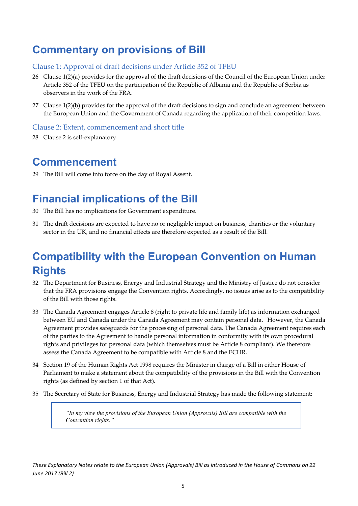### **Commentary on provisions of Bill**

#### Clause 1: Approval of draft decisions under Article 352 of TFEU

- 26 Clause 1(2)(a) provides for the approval of the draft decisions of the Council of the European Union under Article 352 of the TFEU on the participation of the Republic of Albania and the Republic of Serbia as observers in the work of the FRA.
- 27 Clause 1(2)(b) provides for the approval of the draft decisions to sign and conclude an agreement between the European Union and the Government of Canada regarding the application of their competition laws.

#### Clause 2: Extent, commencement and short title

28 Clause 2 is self-explanatory.

#### **Commencement**

29 The Bill will come into force on the day of Royal Assent.

### **Financial implications of the Bill**

- 30 The Bill has no implications for Government expenditure.
- 31 The draft decisions are expected to have no or negligible impact on business, charities or the voluntary sector in the UK, and no financial effects are therefore expected as a result of the Bill.

## **Compatibility with the European Convention on Human Rights**

- 32 The Department for Business, Energy and Industrial Strategy and the Ministry of Justice do not consider that the FRA provisions engage the Convention rights. Accordingly, no issues arise as to the compatibility of the Bill with those rights.
- 33 The Canada Agreement engages Article 8 (right to private life and family life) as information exchanged between EU and Canada under the Canada Agreement may contain personal data. However, the Canada Agreement provides safeguards for the processing of personal data. The Canada Agreement requires each of the parties to the Agreement to handle personal information in conformity with its own procedural rights and privileges for personal data (which themselves must be Article 8 compliant). We therefore assess the Canada Agreement to be compatible with Article 8 and the ECHR.
- 34 Section 19 of the Human Rights Act 1998 requires the Minister in charge of a Bill in either House of Parliament to make a statement about the compatibility of the provisions in the Bill with the Convention rights (as defined by section 1 of that Act).
- 35 The Secretary of State for Business, Energy and Industrial Strategy has made the following statement:

*"In my view the provisions of the European Union (Approvals) Bill are compatible with the Convention rights."*

These Explanatory Notes relate to the European Union (Approvals) Bill as introduced in the House of Commons on 22 *June 2017 (Bill 2)*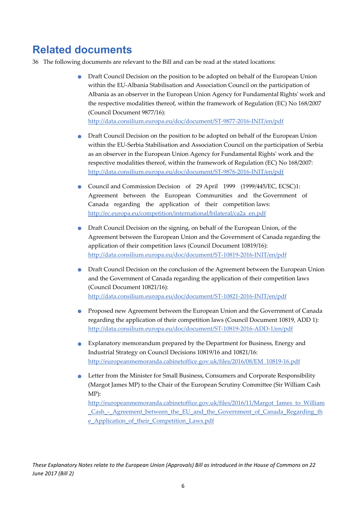#### **Related documents**

- 36 The following documents are relevant to the Bill and can be read at the stated locations:
	- Draft Council Decision on the position to be adopted on behalf of the European Union within the EU‐Albania Stabilisation and Association Council on the participation of Albania as an observer in the European Union Agency for Fundamental Rightsʹ work and the respective modalities thereof, within the framework of Regulation (EC) No 168/2007 (Council Document 9877/16):

http://data.consilium.europa.eu/doc/document/ST‐9877‐2016‐INIT/en/pdf

- Draft Council Decision on the position to be adopted on behalf of the European Union within the EU‐Serbia Stabilisation and Association Council on the participation of Serbia as an observer in the European Union Agency for Fundamental Rightsʹ work and the respective modalities thereof, within the framework of Regulation (EC) No 168/2007: http://data.consilium.europa.eu/doc/document/ST‐9876‐2016‐INIT/en/pdf
- Council and Commission Decision of 29 April 1999 (1999/445/EC, ECSC)1: Agreement between the European Communities and the Government of Canada regarding the application of their competition laws: http://ec.europa.eu/competition/international/bilateral/ca2a\_en.pdf
- **•** Draft Council Decision on the signing, on behalf of the European Union, of the Agreement between the European Union and the Government of Canada regarding the application of their competition laws (Council Document 10819/16): http://data.consilium.europa.eu/doc/document/ST‐10819‐2016‐INIT/en/pdf
- Draft Council Decision on the conclusion of the Agreement between the European Union and the Government of Canada regarding the application of their competition laws (Council Document 10821/16): http://data.consilium.europa.eu/doc/document/ST‐10821‐2016‐INIT/en/pdf
- Proposed new Agreement between the European Union and the Government of Canada regarding the application of their competition laws (Council Document 10819, ADD 1): http://data.consilium.europa.eu/doc/document/ST‐10819‐2016‐ADD‐1/en/pdf
- Explanatory memorandum prepared by the Department for Business, Energy and Industrial Strategy on Council Decisions 10819/16 and 10821/16: http://europeanmemoranda.cabinetoffice.gov.uk/files/2016/08/EM\_10819‐16.pdf
- Letter from the Minister for Small Business, Consumers and Corporate Responsibility (Margot James MP) to the Chair of the European Scrutiny Committee (Sir William Cash MP):

http://europeanmemoranda.cabinetoffice.gov.uk/files/2016/11/Margot\_James\_to\_William \_Cash - Agreement between the EU and the Government of Canada Regarding th e\_Application\_of\_their\_Competition\_Laws.pdf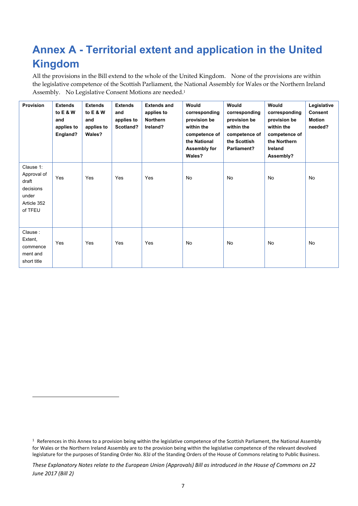# **Annex A - Territorial extent and application in the United Kingdom**

All the provisions in the Bill extend to the whole of the United Kingdom. None of the provisions are within the legislative competence of the Scottish Parliament, the National Assembly for Wales or the Northern Ireland Assembly. No Legislative Consent Motions are needed.<sup>1</sup>

| <b>Provision</b>                                                                  | <b>Extends</b><br>to E & W<br>and<br>applies to<br>England? | <b>Extends</b><br>to $E & W$<br>and<br>applies to<br>Wales? | <b>Extends</b><br>and<br>applies to<br>Scotland? | <b>Extends and</b><br>applies to<br><b>Northern</b><br>Ireland? | Would<br>corresponding<br>provision be<br>within the<br>competence of<br>the National<br>Assembly for<br>Wales? | Would<br>corresponding<br>provision be<br>within the<br>competence of<br>the Scottish<br>Parliament? | Would<br>corresponding<br>provision be<br>within the<br>competence of<br>the Northern<br>Ireland<br>Assembly? | Legislative<br><b>Consent</b><br><b>Motion</b><br>needed? |
|-----------------------------------------------------------------------------------|-------------------------------------------------------------|-------------------------------------------------------------|--------------------------------------------------|-----------------------------------------------------------------|-----------------------------------------------------------------------------------------------------------------|------------------------------------------------------------------------------------------------------|---------------------------------------------------------------------------------------------------------------|-----------------------------------------------------------|
| Clause 1:<br>Approval of<br>draft<br>decisions<br>under<br>Article 352<br>of TFEU | Yes                                                         | Yes                                                         | Yes                                              | Yes                                                             | No                                                                                                              | No                                                                                                   | <b>No</b>                                                                                                     | No                                                        |
| Clause:<br>Extent,<br>commence<br>ment and<br>short title                         | Yes                                                         | Yes                                                         | Yes                                              | Yes                                                             | No                                                                                                              | No                                                                                                   | <b>No</b>                                                                                                     | No                                                        |

 $1$  References in this Annex to a provision being within the legislative competence of the Scottish Parliament, the National Assembly for Wales or the Northern Ireland Assembly are to the provision being within the legislative competence of the relevant devolved legislature for the purposes of Standing Order No. 83J of the Standing Orders of the House of Commons relating to Public Business.